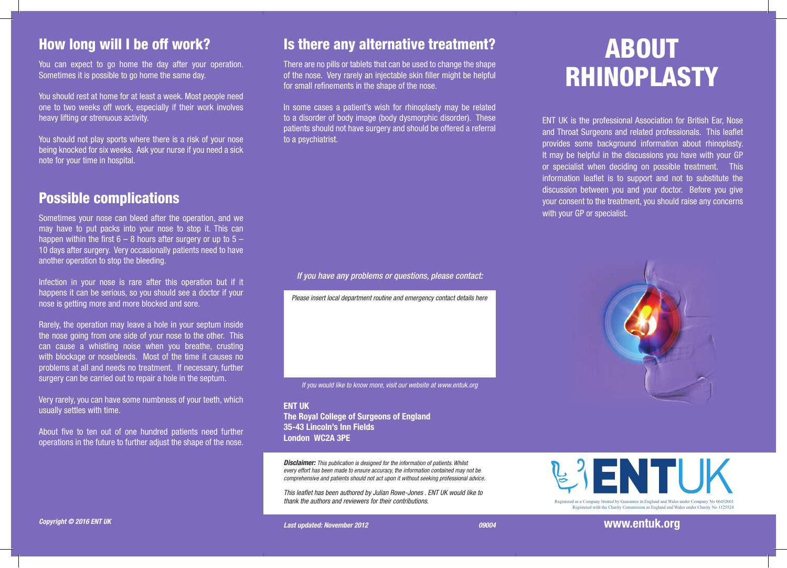#### How long will I be off work?

You can expect to go home the day after your operation. Sometimes it is possible to go home the same day.

You should rest at home for at least a week. Most people need one to two weeks off work, especially if their work involves heavy lifting or strenuous activity.

You should not play sports where there is a risk of your nose being knocked for six weeks. Ask your nurse if you need a sick note for your time in hospital.

#### Possible complications

Sometimes your nose can bleed after the operation, and we may have to put packs into your nose to stop it. This can happen within the first  $6 - 8$  hours after surgery or up to  $5 -$ 10 days after surgery. Very occasionally patients need to have another operation to stop the bleeding.

Infection in your nose is rare after this operation but if it happens it can be serious, so you should see a doctor if your nose is getting more and more blocked and sore.

Rarely, the operation may leave a hole in your septum inside the nose going from one side of your nose to the other. This can cause a whistling noise when you breathe, crusting with blockage or nosebleeds. Most of the time it causes no problems at all and needs no treatment. If necessary, further surgery can be carried out to repair a hole in the septum.

Very rarely, you can have some numbness of your teeth, which usually settles with time.

About five to ten out of one hundred patients need further operations in the future to further adjust the shape of the nose.

#### Is there any alternative treatment?

There are no pills or tablets that can be used to change the shape of the nose. Very rarely an injectable skin filler might be helpful for small refinements in the shape of the nose.

In some cases a patient's wish for rhinoplasty may be related to a disorder of body image (body dysmorphic disorder). These patients should not have surgery and should be offered a referral to a psychiatrist.

*If you have any problems or questions, please contact:*

*Please insert local department routine and emergency contact details here*

*If you would like to know more, visit our website at www.entuk.org*

ENT UK The Royal College of Surgeons of England 35-43 Lincoln's Inn Fields London WC2A 3PE

*Disclaimer: This publication is designed for the information of patients. Whilst every effort has been made to ensure accuracy, the information contained may not be comprehensive and patients should not act upon it without seeking professional advice.*

*This leaflet has been authored by Julian Rowe-Jones . ENT UK would like to thank the authors and reviewers for their contributions.*

# ABOUT RHINOPLASTY

ENT UK is the professional Association for British Ear, Nose and Throat Surgeons and related professionals. This leaflet provides some background information about rhinoplasty. It may be helpful in the discussions you have with your GP or specialist when deciding on possible treatment. This information leaflet is to support and not to substitute the discussion between you and your doctor. Before you give your consent to the treatment, you should raise any concerns with your GP or specialist.





Registered with the Charity Commission in England and Wales under Charity No 1125524

www.entuk.org with the Charity Commission in England and Wales under Charity No 1

Registered as a Company limited by Guarantee in England and Wales under Company No 06452601